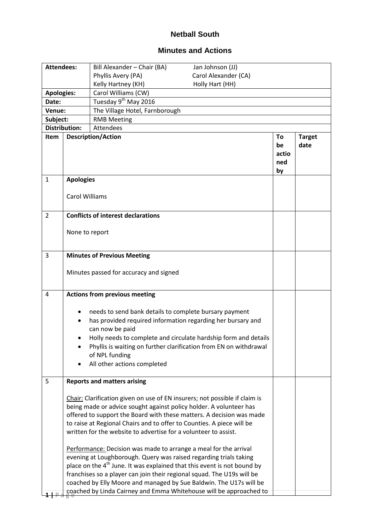## **Netball South**

## **Minutes and Actions**

| <b>Attendees:</b>    |                                                                                                                                                                                                                                                                                                                                                                                                                                                                                                                                                                                                                                                                                | Bill Alexander - Chair (BA)                                                                                                                                                               | Jan Johnson (JJ)                                                                                                                     |                                |                       |  |
|----------------------|--------------------------------------------------------------------------------------------------------------------------------------------------------------------------------------------------------------------------------------------------------------------------------------------------------------------------------------------------------------------------------------------------------------------------------------------------------------------------------------------------------------------------------------------------------------------------------------------------------------------------------------------------------------------------------|-------------------------------------------------------------------------------------------------------------------------------------------------------------------------------------------|--------------------------------------------------------------------------------------------------------------------------------------|--------------------------------|-----------------------|--|
|                      |                                                                                                                                                                                                                                                                                                                                                                                                                                                                                                                                                                                                                                                                                | Phyllis Avery (PA)                                                                                                                                                                        | Carol Alexander (CA)                                                                                                                 |                                |                       |  |
|                      |                                                                                                                                                                                                                                                                                                                                                                                                                                                                                                                                                                                                                                                                                | Kelly Hartney (KH)                                                                                                                                                                        | Holly Hart (HH)                                                                                                                      |                                |                       |  |
| <b>Apologies:</b>    |                                                                                                                                                                                                                                                                                                                                                                                                                                                                                                                                                                                                                                                                                | Carol Williams (CW)                                                                                                                                                                       |                                                                                                                                      |                                |                       |  |
| Date:                |                                                                                                                                                                                                                                                                                                                                                                                                                                                                                                                                                                                                                                                                                | Tuesday 9 <sup>th</sup> May 2016                                                                                                                                                          |                                                                                                                                      |                                |                       |  |
| Venue:               |                                                                                                                                                                                                                                                                                                                                                                                                                                                                                                                                                                                                                                                                                | The Village Hotel, Farnborough                                                                                                                                                            |                                                                                                                                      |                                |                       |  |
| Subject:             |                                                                                                                                                                                                                                                                                                                                                                                                                                                                                                                                                                                                                                                                                | <b>RMB Meeting</b>                                                                                                                                                                        |                                                                                                                                      |                                |                       |  |
| <b>Distribution:</b> |                                                                                                                                                                                                                                                                                                                                                                                                                                                                                                                                                                                                                                                                                | <b>Attendees</b>                                                                                                                                                                          |                                                                                                                                      |                                |                       |  |
| Item                 |                                                                                                                                                                                                                                                                                                                                                                                                                                                                                                                                                                                                                                                                                | <b>Description/Action</b>                                                                                                                                                                 |                                                                                                                                      | To<br>be<br>actio<br>ned<br>by | <b>Target</b><br>date |  |
| $\mathbf{1}$         | <b>Apologies</b>                                                                                                                                                                                                                                                                                                                                                                                                                                                                                                                                                                                                                                                               |                                                                                                                                                                                           |                                                                                                                                      |                                |                       |  |
|                      | <b>Carol Williams</b>                                                                                                                                                                                                                                                                                                                                                                                                                                                                                                                                                                                                                                                          |                                                                                                                                                                                           |                                                                                                                                      |                                |                       |  |
| $\overline{2}$       |                                                                                                                                                                                                                                                                                                                                                                                                                                                                                                                                                                                                                                                                                | <b>Conflicts of interest declarations</b>                                                                                                                                                 |                                                                                                                                      |                                |                       |  |
|                      | None to report                                                                                                                                                                                                                                                                                                                                                                                                                                                                                                                                                                                                                                                                 |                                                                                                                                                                                           |                                                                                                                                      |                                |                       |  |
| 3                    |                                                                                                                                                                                                                                                                                                                                                                                                                                                                                                                                                                                                                                                                                | <b>Minutes of Previous Meeting</b>                                                                                                                                                        |                                                                                                                                      |                                |                       |  |
|                      |                                                                                                                                                                                                                                                                                                                                                                                                                                                                                                                                                                                                                                                                                | Minutes passed for accuracy and signed                                                                                                                                                    |                                                                                                                                      |                                |                       |  |
| 4                    |                                                                                                                                                                                                                                                                                                                                                                                                                                                                                                                                                                                                                                                                                | <b>Actions from previous meeting</b>                                                                                                                                                      |                                                                                                                                      |                                |                       |  |
|                      |                                                                                                                                                                                                                                                                                                                                                                                                                                                                                                                                                                                                                                                                                | needs to send bank details to complete bursary payment<br>has provided required information regarding her bursary and<br>can now be paid<br>of NPL funding<br>All other actions completed | Holly needs to complete and circulate hardship form and details<br>Phyllis is waiting on further clarification from EN on withdrawal |                                |                       |  |
| 5                    |                                                                                                                                                                                                                                                                                                                                                                                                                                                                                                                                                                                                                                                                                | <b>Reports and matters arising</b>                                                                                                                                                        |                                                                                                                                      |                                |                       |  |
|                      | Chair: Clarification given on use of EN insurers; not possible if claim is<br>being made or advice sought against policy holder. A volunteer has<br>offered to support the Board with these matters. A decision was made<br>to raise at Regional Chairs and to offer to Counties. A piece will be<br>written for the website to advertise for a volunteer to assist.<br>Performance: Decision was made to arrange a meal for the arrival<br>evening at Loughborough. Query was raised regarding trials taking<br>place on the 4 <sup>th</sup> June. It was explained that this event is not bound by<br>franchises so a player can join their regional squad. The U19s will be |                                                                                                                                                                                           |                                                                                                                                      |                                |                       |  |
|                      |                                                                                                                                                                                                                                                                                                                                                                                                                                                                                                                                                                                                                                                                                | coached by Elly Moore and managed by Sue Baldwin. The U17s will be                                                                                                                        | coached by Linda Cairney and Emma Whitehouse will be approached to                                                                   |                                |                       |  |
|                      |                                                                                                                                                                                                                                                                                                                                                                                                                                                                                                                                                                                                                                                                                |                                                                                                                                                                                           |                                                                                                                                      |                                |                       |  |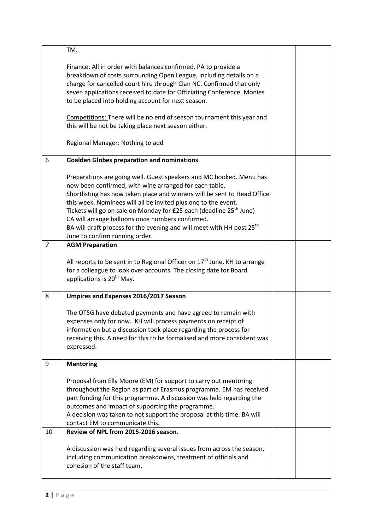|                | TM.                                                                                                                                                                                                                                                                                                                                                                                                                                                                                                                                       |  |
|----------------|-------------------------------------------------------------------------------------------------------------------------------------------------------------------------------------------------------------------------------------------------------------------------------------------------------------------------------------------------------------------------------------------------------------------------------------------------------------------------------------------------------------------------------------------|--|
|                | Finance: All in order with balances confirmed. PA to provide a<br>breakdown of costs surrounding Open League, including details on a<br>charge for cancelled court hire through Clan NC. Confirmed that only<br>seven applications received to date for Officiating Conference. Monies<br>to be placed into holding account for next season.<br>Competitions: There will be no end of season tournament this year and<br>this will be not be taking place next season either.<br>Regional Manager: Nothing to add                         |  |
|                |                                                                                                                                                                                                                                                                                                                                                                                                                                                                                                                                           |  |
| 6              | <b>Goalden Globes preparation and nominations</b>                                                                                                                                                                                                                                                                                                                                                                                                                                                                                         |  |
|                | Preparations are going well. Guest speakers and MC booked. Menu has<br>now been confirmed, with wine arranged for each table.<br>Shortlisting has now taken place and winners will be sent to Head Office<br>this week. Nominees will all be invited plus one to the event.<br>Tickets will go on sale on Monday for £25 each (deadline 25 <sup>th</sup> June)<br>CA will arrange balloons once numbers confirmed.<br>BA will draft process for the evening and will meet with HH post 25 <sup>th</sup><br>June to confirm running order. |  |
| $\overline{7}$ | <b>AGM Preparation</b>                                                                                                                                                                                                                                                                                                                                                                                                                                                                                                                    |  |
|                | All reports to be sent in to Regional Officer on $17th$ June. KH to arrange<br>for a colleague to look over accounts. The closing date for Board<br>applications is 20 <sup>th</sup> May.                                                                                                                                                                                                                                                                                                                                                 |  |
| 8              | Umpires and Expenses 2016/2017 Season                                                                                                                                                                                                                                                                                                                                                                                                                                                                                                     |  |
|                | The OTSG have debated payments and have agreed to remain with<br>expenses only for now. KH will process payments on receipt of<br>information but a discussion took place regarding the process for<br>receiving this. A need for this to be formalised and more consistent was<br>expressed.                                                                                                                                                                                                                                             |  |
| 9              | <b>Mentoring</b>                                                                                                                                                                                                                                                                                                                                                                                                                                                                                                                          |  |
|                | Proposal from Elly Moore (EM) for support to carry out mentoring<br>throughout the Region as part of Erasmus programme. EM has received<br>part funding for this programme. A discussion was held regarding the<br>outcomes and impact of supporting the programme.<br>A decision was taken to not support the proposal at this time. BA will<br>contact EM to communicate this.                                                                                                                                                          |  |
| 10             | Review of NPL from 2015-2016 season.                                                                                                                                                                                                                                                                                                                                                                                                                                                                                                      |  |
|                | A discussion was held regarding several issues from across the season,<br>including communication breakdowns, treatment of officials and<br>cohesion of the staff team.                                                                                                                                                                                                                                                                                                                                                                   |  |